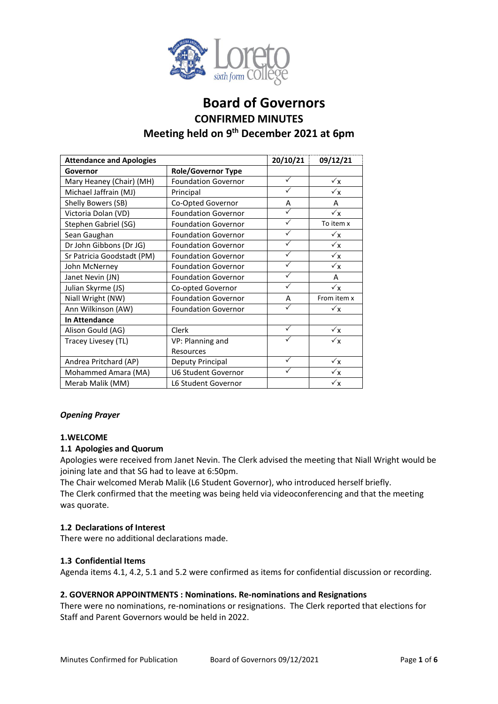

# **Board of Governors CONFIRMED MINUTES Meeting held on 9 th December 2021 at 6pm**

| <b>Attendance and Apologies</b> |                            | 20/10/21     | 09/12/21       |
|---------------------------------|----------------------------|--------------|----------------|
| Governor                        | <b>Role/Governor Type</b>  |              |                |
| Mary Heaney (Chair) (MH)        | <b>Foundation Governor</b> | ✓            | $\sqrt{x}$     |
| Michael Jaffrain (MJ)           | Principal                  | ✓            | $\sqrt{x}$     |
| Shelly Bowers (SB)              | Co-Opted Governor          | A            | A              |
| Victoria Dolan (VD)             | <b>Foundation Governor</b> | ✓            | $\sqrt{x}$     |
| Stephen Gabriel (SG)            | <b>Foundation Governor</b> | ✓            | To item x      |
| Sean Gaughan                    | <b>Foundation Governor</b> | $\checkmark$ | $\checkmark$ x |
| Dr John Gibbons (Dr JG)         | <b>Foundation Governor</b> | ✓            | $\checkmark$ x |
| Sr Patricia Goodstadt (PM)      | <b>Foundation Governor</b> | $\checkmark$ | $\sqrt{x}$     |
| John McNerney                   | <b>Foundation Governor</b> | $\checkmark$ | $\sqrt{x}$     |
| Janet Nevin (JN)                | <b>Foundation Governor</b> | ✓            | A              |
| Julian Skyrme (JS)              | Co-opted Governor          | $\checkmark$ | $\checkmark$   |
| Niall Wright (NW)               | <b>Foundation Governor</b> | A            | From item x    |
| Ann Wilkinson (AW)              | <b>Foundation Governor</b> | ✓            | $\sqrt{x}$     |
| <b>In Attendance</b>            |                            |              |                |
| Alison Gould (AG)               | Clerk                      | ✓            | $\checkmark$   |
| Tracey Livesey (TL)             | VP: Planning and           | ✓            | $\checkmark$ x |
|                                 | Resources                  |              |                |
| Andrea Pritchard (AP)           | Deputy Principal           | ✓            | $\sqrt{x}$     |
| Mohammed Amara (MA)             | <b>U6 Student Governor</b> | ✓            | $\checkmark$ x |
| Merab Malik (MM)                | L6 Student Governor        |              | $\checkmark$ x |

#### *Opening Prayer*

#### **1.WELCOME**

#### **1.1 Apologies and Quorum**

Apologies were received from Janet Nevin. The Clerk advised the meeting that Niall Wright would be joining late and that SG had to leave at 6:50pm.

The Chair welcomed Merab Malik (L6 Student Governor), who introduced herself briefly. The Clerk confirmed that the meeting was being held via videoconferencing and that the meeting was quorate.

#### **1.2 Declarations of Interest**

There were no additional declarations made.

#### **1.3 Confidential Items**

Agenda items 4.1, 4.2, 5.1 and 5.2 were confirmed as items for confidential discussion or recording.

#### **2. GOVERNOR APPOINTMENTS : Nominations. Re-nominations and Resignations**

There were no nominations, re-nominations or resignations. The Clerk reported that elections for Staff and Parent Governors would be held in 2022.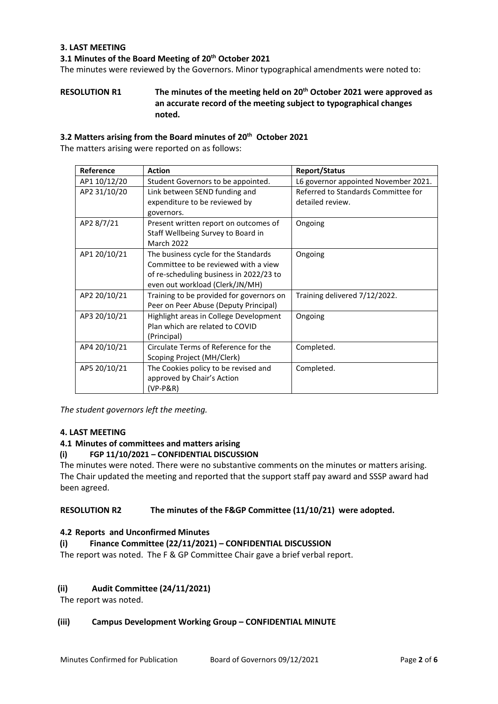#### **3. LAST MEETING**

#### **3.1 Minutes of the Board Meeting of 20th October 2021**

The minutes were reviewed by the Governors. Minor typographical amendments were noted to:

#### **RESOLUTION R1 The minutes of the meeting held on 20th October 2021 were approved as an accurate record of the meeting subject to typographical changes noted.**

#### **3.2 Matters arising from the Board minutes of 20th October 2021**

The matters arising were reported on as follows:

| Reference    | <b>Action</b>                            | <b>Report/Status</b>                 |
|--------------|------------------------------------------|--------------------------------------|
| AP1 10/12/20 | Student Governors to be appointed.       | L6 governor appointed November 2021. |
| AP2 31/10/20 | Link between SEND funding and            | Referred to Standards Committee for  |
|              | expenditure to be reviewed by            | detailed review.                     |
|              | governors.                               |                                      |
| AP2 8/7/21   | Present written report on outcomes of    | Ongoing                              |
|              | Staff Wellbeing Survey to Board in       |                                      |
|              | <b>March 2022</b>                        |                                      |
| AP1 20/10/21 | The business cycle for the Standards     | Ongoing                              |
|              | Committee to be reviewed with a view     |                                      |
|              | of re-scheduling business in 2022/23 to  |                                      |
|              | even out workload (Clerk/JN/MH)          |                                      |
| AP2 20/10/21 | Training to be provided for governors on | Training delivered 7/12/2022.        |
|              | Peer on Peer Abuse (Deputy Principal)    |                                      |
| AP3 20/10/21 | Highlight areas in College Development   | Ongoing                              |
|              | Plan which are related to COVID          |                                      |
|              | (Principal)                              |                                      |
| AP4 20/10/21 | Circulate Terms of Reference for the     | Completed.                           |
|              | Scoping Project (MH/Clerk)               |                                      |
| AP5 20/10/21 | The Cookies policy to be revised and     | Completed.                           |
|              | approved by Chair's Action               |                                      |
|              | $(VP-P\&R)$                              |                                      |

*The student governors left the meeting.* 

#### **4. LAST MEETING**

#### **4.1 Minutes of committees and matters arising**

#### **(i) FGP 11/10/2021 – CONFIDENTIAL DISCUSSION**

The minutes were noted. There were no substantive comments on the minutes or matters arising. The Chair updated the meeting and reported that the support staff pay award and SSSP award had been agreed.

#### **RESOLUTION R2 The minutes of the F&GP Committee (11/10/21) were adopted.**

#### **4.2 Reports and Unconfirmed Minutes**

#### **(i) Finance Committee (22/11/2021) – CONFIDENTIAL DISCUSSION**

The report was noted. The F & GP Committee Chair gave a brief verbal report.

#### **(ii) Audit Committee (24/11/2021)**

The report was noted.

#### **(iii) Campus Development Working Group – CONFIDENTIAL MINUTE**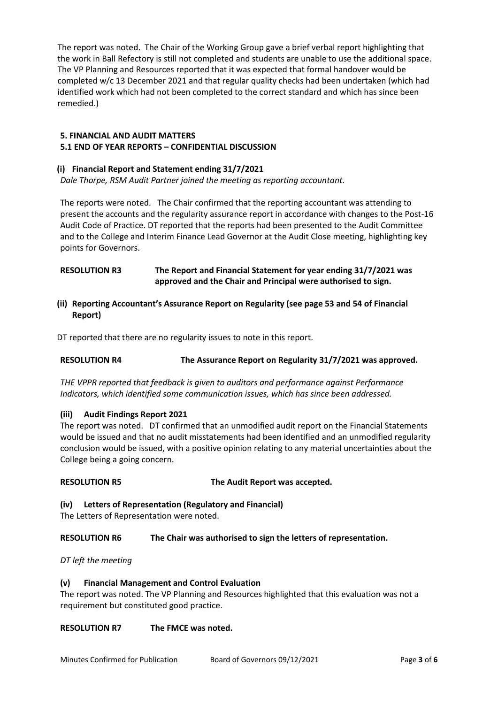The report was noted. The Chair of the Working Group gave a brief verbal report highlighting that the work in Ball Refectory is still not completed and students are unable to use the additional space. The VP Planning and Resources reported that it was expected that formal handover would be completed w/c 13 December 2021 and that regular quality checks had been undertaken (which had identified work which had not been completed to the correct standard and which has since been remedied.)

## **5. FINANCIAL AND AUDIT MATTERS**

#### **5.1 END OF YEAR REPORTS – CONFIDENTIAL DISCUSSION**

#### **(i) Financial Report and Statement ending 31/7/2021**

*Dale Thorpe, RSM Audit Partner joined the meeting as reporting accountant.* 

The reports were noted. The Chair confirmed that the reporting accountant was attending to present the accounts and the regularity assurance report in accordance with changes to the Post-16 Audit Code of Practice. DT reported that the reports had been presented to the Audit Committee and to the College and Interim Finance Lead Governor at the Audit Close meeting, highlighting key points for Governors.

#### **RESOLUTION R3 The Report and Financial Statement for year ending 31/7/2021 was approved and the Chair and Principal were authorised to sign.**

**(ii) Reporting Accountant's Assurance Report on Regularity (see page 53 and 54 of Financial Report)**

DT reported that there are no regularity issues to note in this report.

### **RESOLUTION R4 The Assurance Report on Regularity 31/7/2021 was approved.**

*THE VPPR reported that feedback is given to auditors and performance against Performance Indicators, which identified some communication issues, which has since been addressed.* 

#### **(iii) Audit Findings Report 2021**

The report was noted. DT confirmed that an unmodified audit report on the Financial Statements would be issued and that no audit misstatements had been identified and an unmodified regularity conclusion would be issued, with a positive opinion relating to any material uncertainties about the College being a going concern.

#### **RESOLUTION R5 The Audit Report was accepted.**

**(iv) Letters of Representation (Regulatory and Financial)** 

The Letters of Representation were noted.

**RESOLUTION R6 The Chair was authorised to sign the letters of representation.**

*DT left the meeting* 

### **(v) Financial Management and Control Evaluation**

The report was noted. The VP Planning and Resources highlighted that this evaluation was not a requirement but constituted good practice.

#### **RESOLUTION R7 The FMCE was noted.**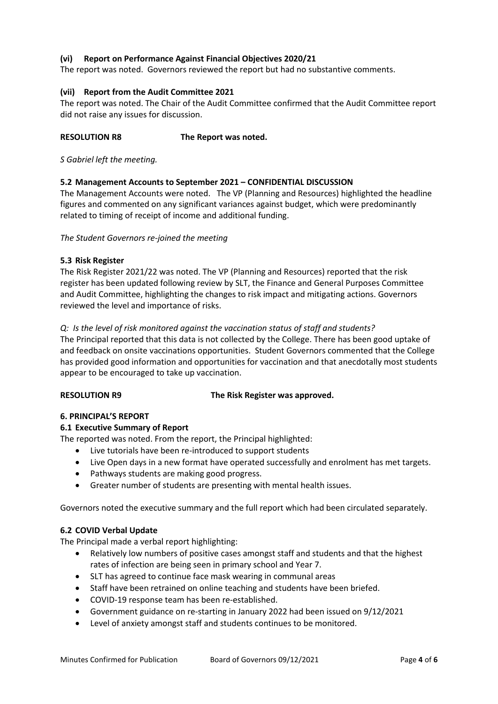#### **(vi) Report on Performance Against Financial Objectives 2020/21**

The report was noted. Governors reviewed the report but had no substantive comments.

#### **(vii) Report from the Audit Committee 2021**

The report was noted. The Chair of the Audit Committee confirmed that the Audit Committee report did not raise any issues for discussion.

#### **RESOLUTION R8 The Report was noted.**

*S Gabriel left the meeting.* 

#### **5.2 Management Accounts to September 2021 – CONFIDENTIAL DISCUSSION**

The Management Accounts were noted. The VP (Planning and Resources) highlighted the headline figures and commented on any significant variances against budget, which were predominantly related to timing of receipt of income and additional funding.

#### *The Student Governors re-joined the meeting*

#### **5.3 Risk Register**

The Risk Register 2021/22 was noted. The VP (Planning and Resources) reported that the risk register has been updated following review by SLT, the Finance and General Purposes Committee and Audit Committee, highlighting the changes to risk impact and mitigating actions. Governors reviewed the level and importance of risks.

#### *Q: Is the level of risk monitored against the vaccination status of staff and students?*

The Principal reported that this data is not collected by the College. There has been good uptake of and feedback on onsite vaccinations opportunities. Student Governors commented that the College has provided good information and opportunities for vaccination and that anecdotally most students appear to be encouraged to take up vaccination.

#### **RESOLUTION R9 The Risk Register was approved.**

#### **6. PRINCIPAL'S REPORT**

#### **6.1 Executive Summary of Report**

The reported was noted. From the report, the Principal highlighted:

- Live tutorials have been re-introduced to support students
- Live Open days in a new format have operated successfully and enrolment has met targets.
- Pathways students are making good progress.
- Greater number of students are presenting with mental health issues.

Governors noted the executive summary and the full report which had been circulated separately.

#### **6.2 COVID Verbal Update**

The Principal made a verbal report highlighting:

- Relatively low numbers of positive cases amongst staff and students and that the highest rates of infection are being seen in primary school and Year 7.
- SLT has agreed to continue face mask wearing in communal areas
- Staff have been retrained on online teaching and students have been briefed.
- COVID-19 response team has been re-established.
- Government guidance on re-starting in January 2022 had been issued on 9/12/2021
- Level of anxiety amongst staff and students continues to be monitored.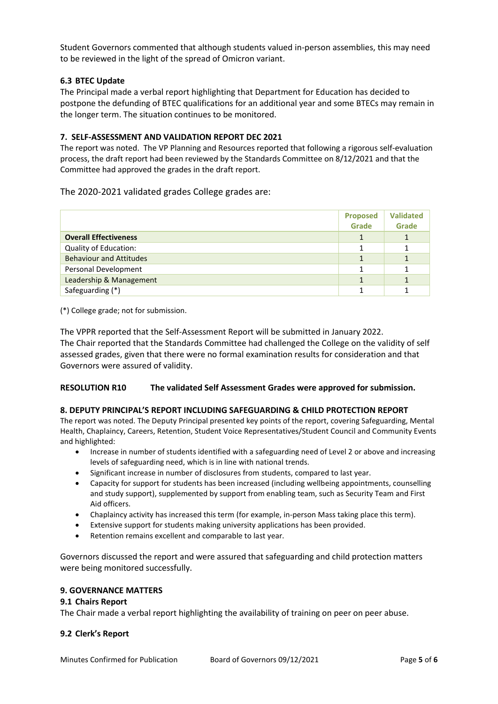Student Governors commented that although students valued in-person assemblies, this may need to be reviewed in the light of the spread of Omicron variant.

#### **6.3 BTEC Update**

The Principal made a verbal report highlighting that Department for Education has decided to postpone the defunding of BTEC qualifications for an additional year and some BTECs may remain in the longer term. The situation continues to be monitored.

#### **7. SELF-ASSESSMENT AND VALIDATION REPORT DEC 2021**

The report was noted. The VP Planning and Resources reported that following a rigorous self-evaluation process, the draft report had been reviewed by the Standards Committee on 8/12/2021 and that the Committee had approved the grades in the draft report.

#### The 2020-2021 validated grades College grades are:

|                                | <b>Proposed</b><br>Grade | <b>Validated</b><br>Grade |
|--------------------------------|--------------------------|---------------------------|
| <b>Overall Effectiveness</b>   |                          |                           |
| Quality of Education:          |                          |                           |
| <b>Behaviour and Attitudes</b> |                          |                           |
| Personal Development           |                          |                           |
| Leadership & Management        |                          |                           |
| Safeguarding (*)               |                          |                           |

(\*) College grade; not for submission.

The VPPR reported that the Self-Assessment Report will be submitted in January 2022. The Chair reported that the Standards Committee had challenged the College on the validity of self assessed grades, given that there were no formal examination results for consideration and that Governors were assured of validity.

#### **RESOLUTION R10 The validated Self Assessment Grades were approved for submission.**

#### **8. DEPUTY PRINCIPAL'S REPORT INCLUDING SAFEGUARDING & CHILD PROTECTION REPORT**

The report was noted. The Deputy Principal presented key points of the report, covering Safeguarding, Mental Health, Chaplaincy, Careers, Retention, Student Voice Representatives/Student Council and Community Events and highlighted:

- Increase in number of students identified with a safeguarding need of Level 2 or above and increasing levels of safeguarding need, which is in line with national trends.
- Significant increase in number of disclosures from students, compared to last year.
- Capacity for support for students has been increased (including wellbeing appointments, counselling and study support), supplemented by support from enabling team, such as Security Team and First Aid officers.
- Chaplaincy activity has increased this term (for example, in-person Mass taking place this term).
- Extensive support for students making university applications has been provided.
- Retention remains excellent and comparable to last year.

Governors discussed the report and were assured that safeguarding and child protection matters were being monitored successfully.

#### **9. GOVERNANCE MATTERS**

#### **9.1 Chairs Report**

The Chair made a verbal report highlighting the availability of training on peer on peer abuse.

#### **9.2 Clerk's Report**